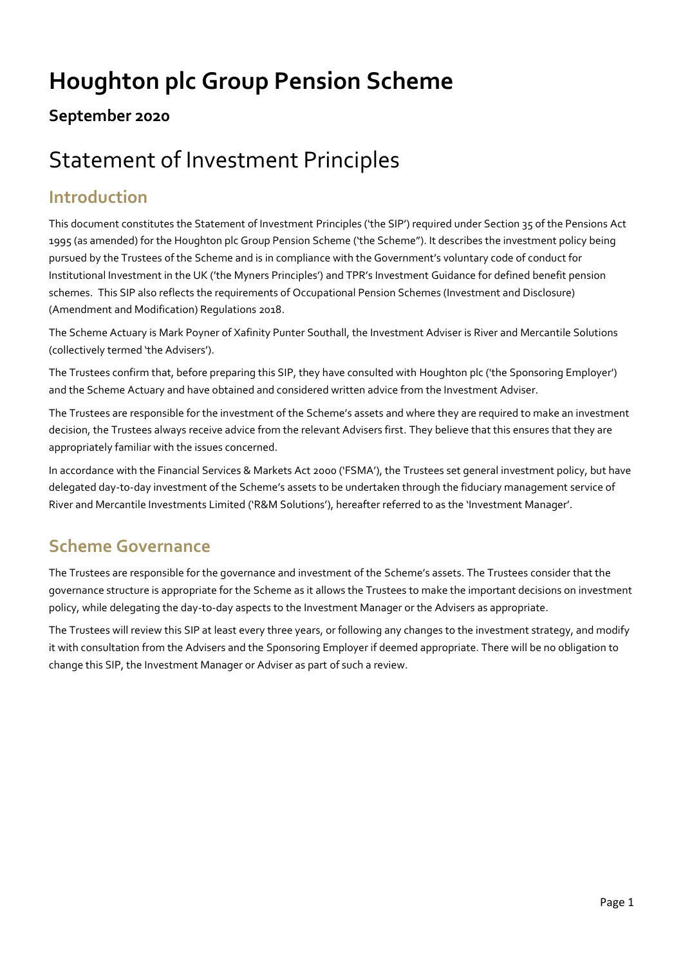# **Houghton plc Group Pension Scheme**

#### **September 2020**

# Statement of Investment Principles

#### **Introduction**

This document constitutes the Statement of Investment Principles ('the SIP') required under Section 35 of the Pensions Act 1995 (as amended) for the Houghton plc Group Pension Scheme ('the Scheme"). It describes the investment policy being pursued by the Trustees of the Scheme and is in compliance with the Government's voluntary code of conduct for Institutional Investment in the UK ('the Myners Principles') and TPR's Investment Guidance for defined benefit pension schemes. This SIP also reflects the requirements of Occupational Pension Schemes (Investment and Disclosure) (Amendment and Modification) Regulations 2018.

The Scheme Actuary is Mark Poyner of Xafinity Punter Southall, the Investment Adviser is River and Mercantile Solutions (collectively termed 'the Advisers').

The Trustees confirm that, before preparing this SIP, they have consulted with Houghton plc ('the Sponsoring Employer') and the Scheme Actuary and have obtained and considered written advice from the Investment Adviser.

The Trustees are responsible for the investment of the Scheme's assets and where they are required to make an investment decision, the Trustees always receive advice from the relevant Advisers first. They believe that this ensures that they are appropriately familiar with the issues concerned.

In accordance with the Financial Services & Markets Act 2000 ('FSMA'), the Trustees set general investment policy, but have delegated day-to-day investment of the Scheme's assets to be undertaken through the fiduciary management service of River and Mercantile Investments Limited ('R&M Solutions'), hereafter referred to as the 'Investment Manager'.

#### **Scheme Governance**

The Trustees are responsible for the governance and investment of the Scheme's assets. The Trustees consider that the governance structure is appropriate for the Scheme as it allows the Trustees to make the important decisions on investment policy, while delegating the day-to-day aspects to the Investment Manager or the Advisers as appropriate.

The Trustees will review this SIP at least every three years, or following any changes to the investment strategy, and modify it with consultation from the Advisers and the Sponsoring Employer if deemed appropriate. There will be no obligation to change this SIP, the Investment Manager or Adviser as part of such a review.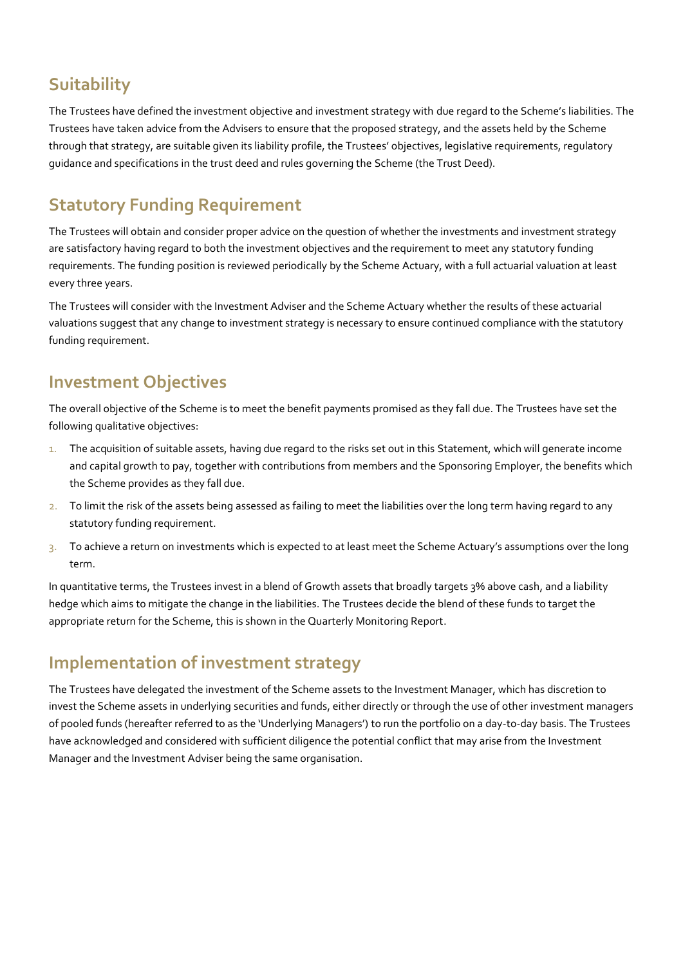## **Suitability**

The Trustees have defined the investment objective and investment strategy with due regard to the Scheme's liabilities. The Trustees have taken advice from the Advisers to ensure that the proposed strategy, and the assets held by the Scheme through that strategy, are suitable given its liability profile, the Trustees' objectives, legislative requirements, regulatory guidance and specifications in the trust deed and rules governing the Scheme (the Trust Deed).

## **Statutory Funding Requirement**

The Trustees will obtain and consider proper advice on the question of whether the investments and investment strategy are satisfactory having regard to both the investment objectives and the requirement to meet any statutory funding requirements. The funding position is reviewed periodically by the Scheme Actuary, with a full actuarial valuation at least every three years.

The Trustees will consider with the Investment Adviser and the Scheme Actuary whether the results of these actuarial valuations suggest that any change to investment strategy is necessary to ensure continued compliance with the statutory funding requirement.

#### **Investment Objectives**

The overall objective of the Scheme is to meet the benefit payments promised as they fall due. The Trustees have set the following qualitative objectives:

- 1. The acquisition of suitable assets, having due regard to the risks set out in this Statement, which will generate income and capital growth to pay, together with contributions from members and the Sponsoring Employer, the benefits which the Scheme provides as they fall due.
- 2. To limit the risk of the assets being assessed as failing to meet the liabilities over the long term having regard to any statutory funding requirement.
- 3. To achieve a return on investments which is expected to at least meet the Scheme Actuary's assumptions over the long term.

In quantitative terms, the Trustees invest in a blend of Growth assets that broadly targets 3% above cash, and a liability hedge which aims to mitigate the change in the liabilities. The Trustees decide the blend of these funds to target the appropriate return for the Scheme, this is shown in the Quarterly Monitoring Report.

#### **Implementation of investment strategy**

The Trustees have delegated the investment of the Scheme assets to the Investment Manager, which has discretion to invest the Scheme assets in underlying securities and funds, either directly or through the use of other investment managers of pooled funds (hereafter referred to as the 'Underlying Managers') to run the portfolio on a day-to-day basis. The Trustees have acknowledged and considered with sufficient diligence the potential conflict that may arise from the Investment Manager and the Investment Adviser being the same organisation.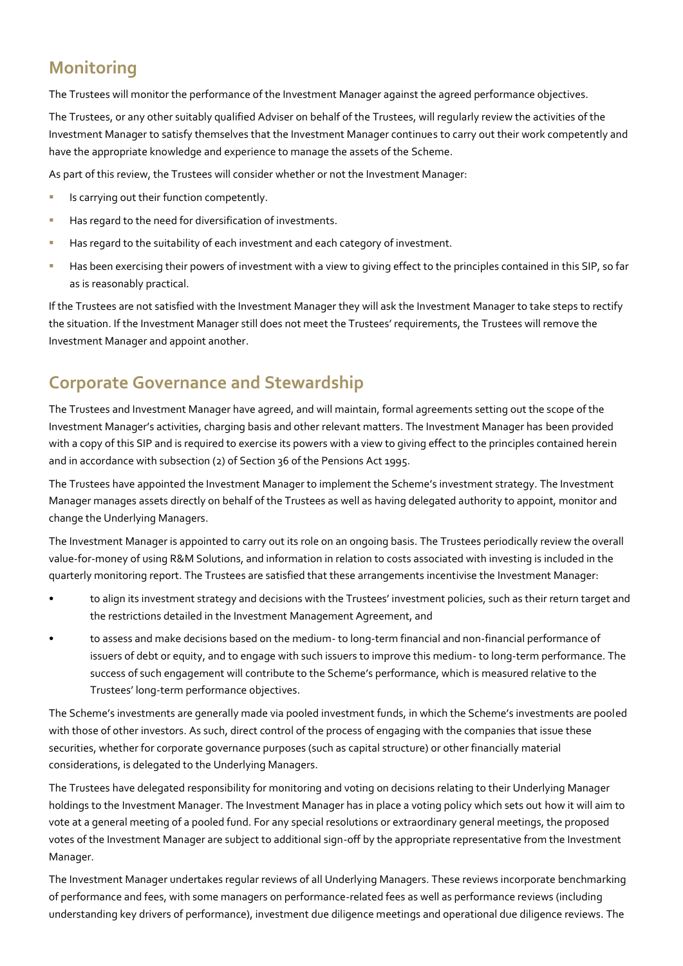#### **Monitoring**

The Trustees will monitor the performance of the Investment Manager against the agreed performance objectives.

The Trustees, or any other suitably qualified Adviser on behalf of the Trustees, will regularly review the activities of the Investment Manager to satisfy themselves that the Investment Manager continues to carry out their work competently and have the appropriate knowledge and experience to manage the assets of the Scheme.

As part of this review, the Trustees will consider whether or not the Investment Manager:

- **E** Is carrying out their function competently.
- **EXECT** Has regard to the need for diversification of investments.
- **EXEDENT Has regard to the suitability of each investment and each category of investment.**
- **EXERCT AS EXERCT EXERCT AS EXERCT FOR A VIOLET A** FIRST HAS UPPER THE STRING IN this SIP, so far as is reasonably practical.

If the Trustees are not satisfied with the Investment Manager they will ask the Investment Manager to take steps to rectify the situation. If the Investment Manager still does not meet the Trustees' requirements, the Trustees will remove the Investment Manager and appoint another.

#### **Corporate Governance and Stewardship**

The Trustees and Investment Manager have agreed, and will maintain, formal agreements setting out the scope of the Investment Manager's activities, charging basis and other relevant matters. The Investment Manager has been provided with a copy of this SIP and is required to exercise its powers with a view to giving effect to the principles contained herein and in accordance with subsection (2) of Section 36 of the Pensions Act 1995.

The Trustees have appointed the Investment Manager to implement the Scheme's investment strategy. The Investment Manager manages assets directly on behalf of the Trustees as well as having delegated authority to appoint, monitor and change the Underlying Managers.

The Investment Manager is appointed to carry out its role on an ongoing basis. The Trustees periodically review the overall value-for-money of using R&M Solutions, and information in relation to costs associated with investing is included in the quarterly monitoring report. The Trustees are satisfied that these arrangements incentivise the Investment Manager:

- to align its investment strategy and decisions with the Trustees' investment policies, such as their return target and the restrictions detailed in the Investment Management Agreement, and
- to assess and make decisions based on the medium- to long-term financial and non-financial performance of issuers of debt or equity, and to engage with such issuers to improve this medium- to long-term performance. The success of such engagement will contribute to the Scheme's performance, which is measured relative to the Trustees' long-term performance objectives.

The Scheme's investments are generally made via pooled investment funds, in which the Scheme's investments are pooled with those of other investors. As such, direct control of the process of engaging with the companies that issue these securities, whether for corporate governance purposes (such as capital structure) or other financially material considerations, is delegated to the Underlying Managers.

The Trustees have delegated responsibility for monitoring and voting on decisions relating to their Underlying Manager holdings to the Investment Manager. The Investment Manager has in place a voting policy which sets out how it will aim to vote at a general meeting of a pooled fund. For any special resolutions or extraordinary general meetings, the proposed votes of the Investment Manager are subject to additional sign-off by the appropriate representative from the Investment Manager.

The Investment Manager undertakes regular reviews of all Underlying Managers. These reviews incorporate benchmarking of performance and fees, with some managers on performance-related fees as well as performance reviews (including understanding key drivers of performance), investment due diligence meetings and operational due diligence reviews. The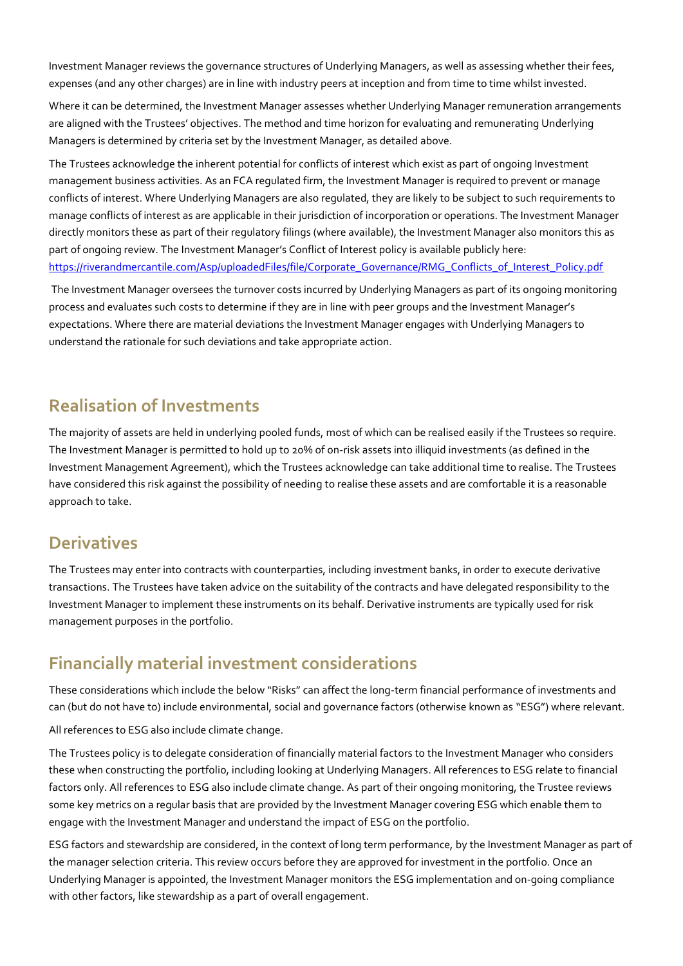Investment Manager reviews the governance structures of Underlying Managers, as well as assessing whether their fees, expenses (and any other charges) are in line with industry peers at inception and from time to time whilst invested.

Where it can be determined, the Investment Manager assesses whether Underlying Manager remuneration arrangements are aligned with the Trustees' objectives. The method and time horizon for evaluating and remunerating Underlying Managers is determined by criteria set by the Investment Manager, as detailed above.

The Trustees acknowledge the inherent potential for conflicts of interest which exist as part of ongoing Investment management business activities. As an FCA regulated firm, the Investment Manager is required to prevent or manage conflicts of interest. Where Underlying Managers are also regulated, they are likely to be subject to such requirements to manage conflicts of interest as are applicable in their jurisdiction of incorporation or operations. The Investment Manager directly monitors these as part of their regulatory filings (where available), the Investment Manager also monitors this as part of ongoing review. The Investment Manager's Conflict of Interest policy is available publicly here: [https://riverandmercantile.com/Asp/uploadedFiles/file/Corporate\\_Governance/RMG\\_Conflicts\\_of\\_Interest\\_Policy.pdf](https://riverandmercantile.com/Asp/uploadedFiles/file/Corporate_Governance/RMG_Conflicts_of_Interest_Policy.pdf)

The Investment Manager oversees the turnover costs incurred by Underlying Managers as part of its ongoing monitoring process and evaluates such costs to determine if they are in line with peer groups and the Investment Manager's expectations. Where there are material deviations the Investment Manager engages with Underlying Managers to understand the rationale for such deviations and take appropriate action.

#### **Realisation of Investments**

The majority of assets are held in underlying pooled funds, most of which can be realised easily if the Trustees so require. The Investment Manager is permitted to hold up to 20% of on-risk assets into illiquid investments (as defined in the Investment Management Agreement), which the Trustees acknowledge can take additional time to realise. The Trustees have considered this risk against the possibility of needing to realise these assets and are comfortable it is a reasonable approach to take.

#### **Derivatives**

The Trustees may enter into contracts with counterparties, including investment banks, in order to execute derivative transactions. The Trustees have taken advice on the suitability of the contracts and have delegated responsibility to the Investment Manager to implement these instruments on its behalf. Derivative instruments are typically used for risk management purposes in the portfolio.

#### **Financially material investment considerations**

These considerations which include the below "Risks" can affect the long-term financial performance of investments and can (but do not have to) include environmental, social and governance factors (otherwise known as "ESG") where relevant.

All references to ESG also include climate change.

The Trustees policy is to delegate consideration of financially material factors to the Investment Manager who considers these when constructing the portfolio, including looking at Underlying Managers. All references to ESG relate to financial factors only. All references to ESG also include climate change. As part of their ongoing monitoring, the Trustee reviews some key metrics on a regular basis that are provided by the Investment Manager covering ESG which enable them to engage with the Investment Manager and understand the impact of ESG on the portfolio.

ESG factors and stewardship are considered, in the context of long term performance, by the Investment Manager as part of the manager selection criteria. This review occurs before they are approved for investment in the portfolio. Once an Underlying Manager is appointed, the Investment Manager monitors the ESG implementation and on-going compliance with other factors, like stewardship as a part of overall engagement.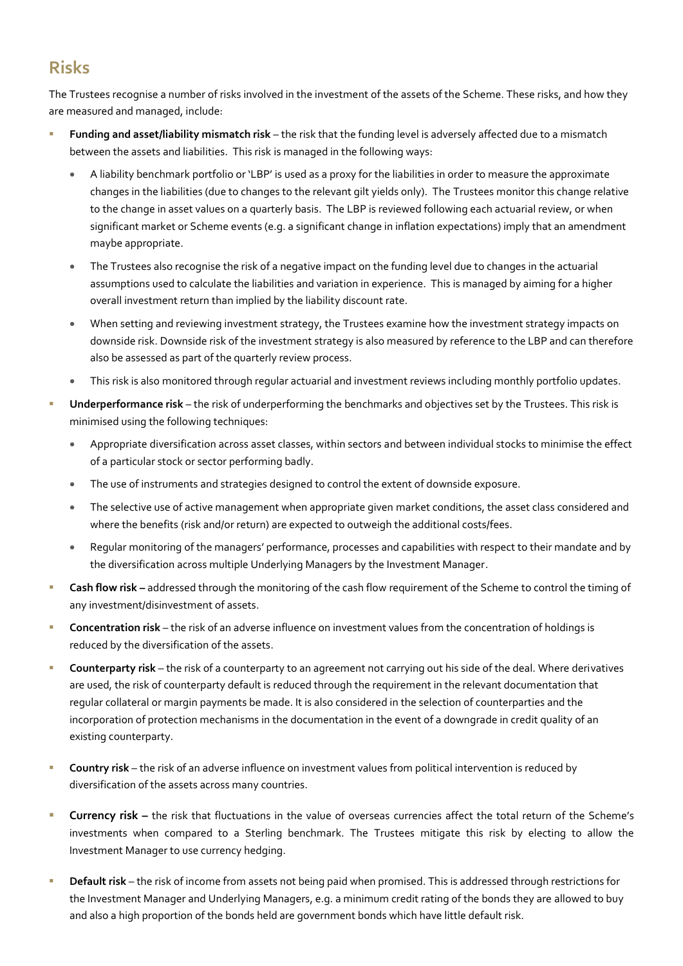#### **Risks**

The Trustees recognise a number of risks involved in the investment of the assets of the Scheme. These risks, and how they are measured and managed, include:

- Funding and asset/liability mismatch risk the risk that the funding level is adversely affected due to a mismatch between the assets and liabilities. This risk is managed in the following ways:
	- A liability benchmark portfolio or 'LBP' is used as a proxy for the liabilities in order to measure the approximate changes in the liabilities (due to changes to the relevant gilt yields only). The Trustees monitor this change relative to the change in asset values on a quarterly basis. The LBP is reviewed following each actuarial review, or when significant market or Scheme events (e.g. a significant change in inflation expectations) imply that an amendment maybe appropriate.
	- The Trustees also recognise the risk of a negative impact on the funding level due to changes in the actuarial assumptions used to calculate the liabilities and variation in experience. This is managed by aiming for a higher overall investment return than implied by the liability discount rate.
	- When setting and reviewing investment strategy, the Trustees examine how the investment strategy impacts on downside risk. Downside risk of the investment strategy is also measured by reference to the LBP and can therefore also be assessed as part of the quarterly review process.
	- This risk is also monitored through regular actuarial and investment reviews including monthly portfolio updates.
- Underperformance risk the risk of underperforming the benchmarks and objectives set by the Trustees. This risk is minimised using the following techniques:
	- Appropriate diversification across asset classes, within sectors and between individual stocks to minimise the effect of a particular stock or sector performing badly.
	- The use of instruments and strategies designed to control the extent of downside exposure.
	- The selective use of active management when appropriate given market conditions, the asset class considered and where the benefits (risk and/or return) are expected to outweigh the additional costs/fees.
	- Regular monitoring of the managers' performance, processes and capabilities with respect to their mandate and by the diversification across multiple Underlying Managers by the Investment Manager.
- **EXECT ADDET IN THE Cash flow risk -** addressed through the monitoring of the cash flow requirement of the Scheme to control the timing of any investment/disinvestment of assets.
- **Concentration risk** the risk of an adverse influence on investment values from the concentration of holdings is reduced by the diversification of the assets.
- **Counterparty risk** the risk of a counterparty to an agreement not carrying out his side of the deal. Where derivatives are used, the risk of counterparty default is reduced through the requirement in the relevant documentation that regular collateral or margin payments be made. It is also considered in the selection of counterparties and the incorporation of protection mechanisms in the documentation in the event of a downgrade in credit quality of an existing counterparty.
- **E** Country risk the risk of an adverse influence on investment values from political intervention is reduced by diversification of the assets across many countries.
- **E** Currency risk the risk that fluctuations in the value of overseas currencies affect the total return of the Scheme's investments when compared to a Sterling benchmark. The Trustees mitigate this risk by electing to allow the Investment Manager to use currency hedging.
- **Default risk** the risk of income from assets not being paid when promised. This is addressed through restrictions for the Investment Manager and Underlying Managers, e.g. a minimum credit rating of the bonds they are allowed to buy and also a high proportion of the bonds held are government bonds which have little default risk.